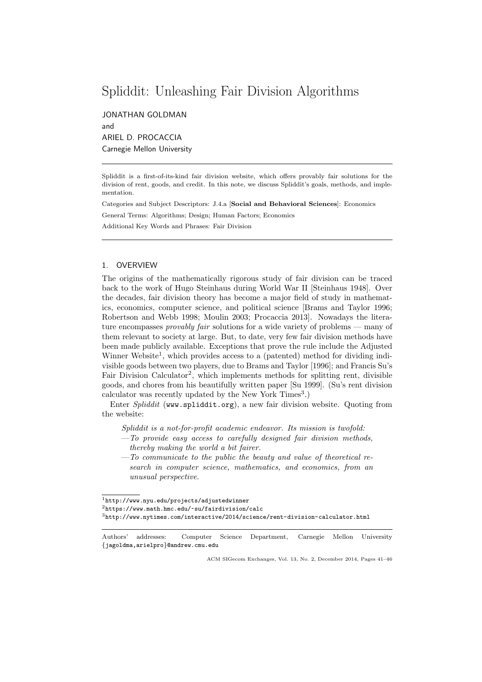# Spliddit: Unleashing Fair Division Algorithms

JONATHAN GOLDMAN and ARIEL D. PROCACCIA Carnegie Mellon University

Spliddit is a first-of-its-kind fair division website, which offers provably fair solutions for the division of rent, goods, and credit. In this note, we discuss Spliddit's goals, methods, and implementation.

Categories and Subject Descriptors: J.4.a [Social and Behavioral Sciences]: Economics General Terms: Algorithms; Design; Human Factors; Economics Additional Key Words and Phrases: Fair Division

### 1. OVERVIEW

The origins of the mathematically rigorous study of fair division can be traced back to the work of Hugo Steinhaus during World War II [Steinhaus 1948]. Over the decades, fair division theory has become a major field of study in mathematics, economics, computer science, and political science [Brams and Taylor 1996; Robertson and Webb 1998; Moulin 2003; Procaccia 2013]. Nowadays the literature encompasses *provably fair* solutions for a wide variety of problems — many of them relevant to society at large. But, to date, very few fair division methods have been made publicly available. Exceptions that prove the rule include the Adjusted Winner Website<sup>1</sup>, which provides access to a (patented) method for dividing indivisible goods between two players, due to Brams and Taylor [1996]; and Francis Su's Fair Division Calculator<sup>2</sup>, which implements methods for splitting rent, divisible goods, and chores from his beautifully written paper [Su 1999]. (Su's rent division calculator was recently updated by the New York  $Times<sup>3</sup>$ .)

Enter Spliddit (www.spliddit.org), a new fair division website. Quoting from the website:

Spliddit is a not-for-profit academic endeavor. Its mission is twofold:

- $-$ To provide easy access to carefully designed fair division methods, thereby making the world a bit fairer.
- $-$ To communicate to the public the beauty and value of theoretical research in computer science, mathematics, and economics, from an unusual perspective.

<sup>1</sup>http://www.nyu.edu/projects/adjustedwinner

 $2$ https://www.math.hmc.edu/~su/fairdivision/calc

 $3$ http://www.nytimes.com/interactive/2014/science/rent-division-calculator.html

Authors' addresses: Computer Science Department, Carnegie Mellon University {jagoldma,arielpro}@andrew.cmu.edu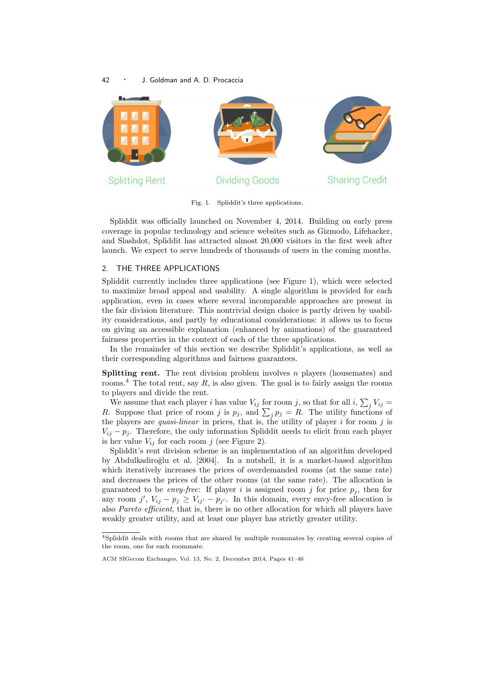#### 42 · J. Goldman and A. D. Procaccia



Fig. 1. Spliddit's three applications.

Spliddit was officially launched on November 4, 2014. Building on early press coverage in popular technology and science websites such as Gizmodo, Lifehacker, and Slashdot, Spliddit has attracted almost 20,000 visitors in the first week after launch. We expect to serve hundreds of thousands of users in the coming months.

#### 2. THE THREE APPLICATIONS

Spliddit currently includes three applications (see Figure 1), which were selected to maximize broad appeal and usability. A single algorithm is provided for each application, even in cases where several incomparable approaches are present in the fair division literature. This nontrivial design choice is partly driven by usability considerations, and partly by educational considerations: it allows us to focus on giving an accessible explanation (enhanced by animations) of the guaranteed fairness properties in the context of each of the three applications.

In the remainder of this section we describe Spliddit's applications, as well as their corresponding algorithms and fairness guarantees.

**Splitting rent.** The rent division problem involves  $n$  players (housemates) and rooms.<sup>4</sup> The total rent, say  $R$ , is also given. The goal is to fairly assign the rooms to players and divide the rent.

We assume that each player *i* has value  $V_{ij}$  for room *j*, so that for all *i*,  $\sum_j V_{ij} =$ R. Suppose that price of room j is  $p_j$ , and  $\sum_j p_j = R$ . The utility functions of the players are *quasi-linear* in prices, that is, the utility of player i for room j is  $V_{ij} - p_j$ . Therefore, the only information Spliddit needs to elicit from each player is her value  $V_{ij}$  for each room j (see Figure 2).

Spliddit's rent division scheme is an implementation of an algorithm developed by Abdulkadiroğlu et al. [2004]. In a nutshell, it is a market-based algorithm which iteratively increases the prices of overdemanded rooms (at the same rate) and decreases the prices of the other rooms (at the same rate). The allocation is guaranteed to be *envy-free*: If player i is assigned room j for price  $p_i$ , then for any room j',  $V_{ij} - p_j \geq V_{ij'} - p_{j'}$ . In this domain, every envy-free allocation is also Pareto efficient, that is, there is no other allocation for which all players have weakly greater utility, and at least one player has strictly greater utility.

<sup>4</sup>Spliddit deals with rooms that are shared by multiple roommates by creating several copies of the room, one for each roommate.

ACM SIGecom Exchanges, Vol. 13, No. 2, December 2014, Pages 41–46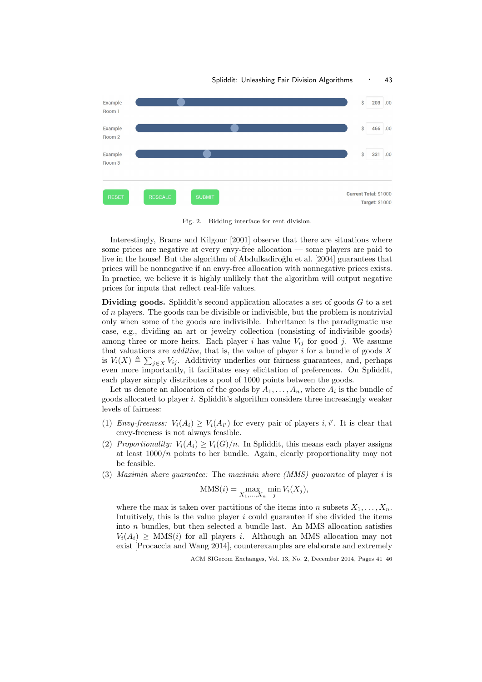

Fig. 2. Bidding interface for rent division.

Interestingly, Brams and Kilgour [2001] observe that there are situations where some prices are negative at every envy-free allocation — some players are paid to live in the house! But the algorithm of Abdulkadiroğlu et al. [2004] guarantees that prices will be nonnegative if an envy-free allocation with nonnegative prices exists. In practice, we believe it is highly unlikely that the algorithm will output negative prices for inputs that reflect real-life values.

**Dividing goods.** Spliddit's second application allocates a set of goods  $G$  to a set of  $n$  players. The goods can be divisible or indivisible, but the problem is nontrivial only when some of the goods are indivisible. Inheritance is the paradigmatic use case, e.g., dividing an art or jewelry collection (consisting of indivisible goods) among three or more heirs. Each player i has value  $V_{ij}$  for good j. We assume that valuations are *additive*, that is, the value of player  $i$  for a bundle of goods  $X$ is  $V_i(X) \triangleq \sum_{j \in X} V_{ij}$ . Additivity underlies our fairness guarantees, and, perhaps even more importantly, it facilitates easy elicitation of preferences. On Spliddit, each player simply distributes a pool of 1000 points between the goods.

Let us denote an allocation of the goods by  $A_1, \ldots, A_n$ , where  $A_i$  is the bundle of goods allocated to player i. Spliddit's algorithm considers three increasingly weaker levels of fairness:

- (1) Envy-freeness:  $V_i(A_i) \geq V_i(A_{i'})$  for every pair of players i, i'. It is clear that envy-freeness is not always feasible.
- (2) Proportionality:  $V_i(A_i) \geq V_i(G)/n$ . In Spliddit, this means each player assigns at least  $1000/n$  points to her bundle. Again, clearly proportionality may not be feasible.
- (3) Maximin share quarantee: The maximin share  $(MMS)$  quarantee of player i is

$$
MMS(i) = \max_{X_1,\ldots,X_n} \min_j V_i(X_j),
$$

where the max is taken over partitions of the items into n subsets  $X_1, \ldots, X_n$ . Intuitively, this is the value player  $i$  could guarantee if she divided the items into n bundles, but then selected a bundle last. An MMS allocation satisfies  $V_i(A_i)$  > MMS(*i*) for all players *i*. Although an MMS allocation may not exist [Procaccia and Wang 2014], counterexamples are elaborate and extremely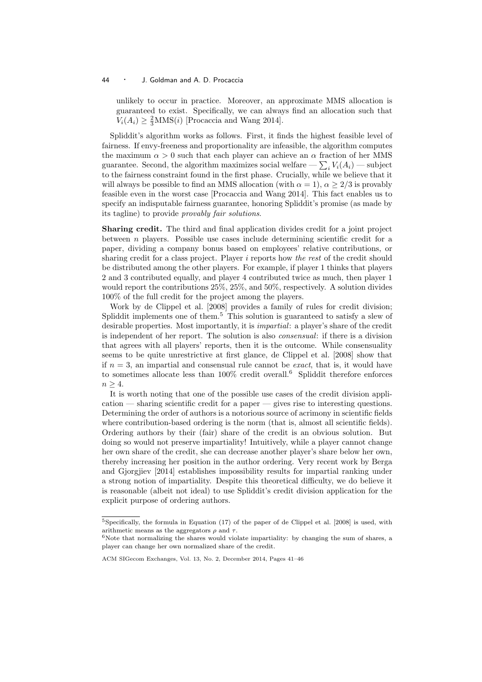### <sup>44</sup> · J. Goldman and A. D. Procaccia

unlikely to occur in practice. Moreover, an approximate MMS allocation is guaranteed to exist. Specifically, we can always find an allocation such that  $V_i(A_i) \geq \frac{2}{3}$ MMS(*i*) [Procaccia and Wang 2014].

Spliddit's algorithm works as follows. First, it finds the highest feasible level of fairness. If envy-freeness and proportionality are infeasible, the algorithm computes the maximum  $\alpha > 0$  such that each player can achieve an  $\alpha$  fraction of her MMS guarantee. Second, the algorithm maximizes social welfare —  $\sum_i V_i(A_i)$  — subject to the fairness constraint found in the first phase. Crucially, while we believe that it will always be possible to find an MMS allocation (with  $\alpha = 1$ ),  $\alpha > 2/3$  is provably feasible even in the worst case [Procaccia and Wang 2014]. This fact enables us to specify an indisputable fairness guarantee, honoring Spliddit's promise (as made by its tagline) to provide provably fair solutions.

Sharing credit. The third and final application divides credit for a joint project between n players. Possible use cases include determining scientific credit for a paper, dividing a company bonus based on employees' relative contributions, or sharing credit for a class project. Player i reports how the rest of the credit should be distributed among the other players. For example, if player 1 thinks that players 2 and 3 contributed equally, and player 4 contributed twice as much, then player 1 would report the contributions 25%, 25%, and 50%, respectively. A solution divides 100% of the full credit for the project among the players.

Work by de Clippel et al. [2008] provides a family of rules for credit division; Spliddit implements one of them.<sup>5</sup> This solution is guaranteed to satisfy a slew of desirable properties. Most importantly, it is impartial: a player's share of the credit is independent of her report. The solution is also consensual: if there is a division that agrees with all players' reports, then it is the outcome. While consensuality seems to be quite unrestrictive at first glance, de Clippel et al. [2008] show that if  $n = 3$ , an impartial and consensual rule cannot be *exact*, that is, it would have to sometimes allocate less than  $100\%$  credit overall.<sup>6</sup> Spliddit therefore enforces  $n > 4$ .

It is worth noting that one of the possible use cases of the credit division application — sharing scientific credit for a paper — gives rise to interesting questions. Determining the order of authors is a notorious source of acrimony in scientific fields where contribution-based ordering is the norm (that is, almost all scientific fields). Ordering authors by their (fair) share of the credit is an obvious solution. But doing so would not preserve impartiality! Intuitively, while a player cannot change her own share of the credit, she can decrease another player's share below her own, thereby increasing her position in the author ordering. Very recent work by Berga and Gjorgjiev [2014] establishes impossibility results for impartial ranking under a strong notion of impartiality. Despite this theoretical difficulty, we do believe it is reasonable (albeit not ideal) to use Spliddit's credit division application for the explicit purpose of ordering authors.

<sup>5</sup>Specifically, the formula in Equation (17) of the paper of de Clippel et al. [2008] is used, with arithmetic means as the aggregators  $\rho$  and  $\tau$ .

 $6$ Note that normalizing the shares would violate impartiality: by changing the sum of shares, a player can change her own normalized share of the credit.

ACM SIGecom Exchanges, Vol. 13, No. 2, December 2014, Pages 41–46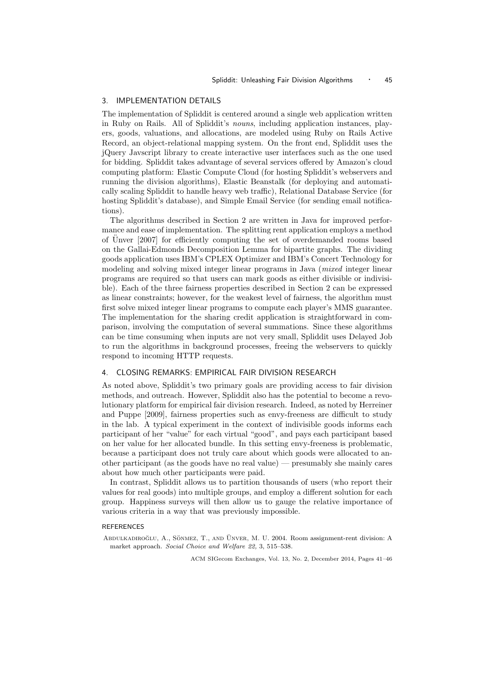## 3. IMPLEMENTATION DETAILS

The implementation of Spliddit is centered around a single web application written in Ruby on Rails. All of Spliddit's nouns, including application instances, players, goods, valuations, and allocations, are modeled using Ruby on Rails Active Record, an object-relational mapping system. On the front end, Spliddit uses the jQuery Javscript library to create interactive user interfaces such as the one used for bidding. Spliddit takes advantage of several services offered by Amazon's cloud computing platform: Elastic Compute Cloud (for hosting Spliddit's webservers and running the division algorithms), Elastic Beanstalk (for deploying and automatically scaling Spliddit to handle heavy web traffic), Relational Database Service (for hosting Spliddit's database), and Simple Email Service (for sending email notifications).

The algorithms described in Section 2 are written in Java for improved performance and ease of implementation. The splitting rent application employs a method of Unver [2007] for efficiently computing the set of overdemanded rooms based ¨ on the Gallai-Edmonds Decomposition Lemma for bipartite graphs. The dividing goods application uses IBM's CPLEX Optimizer and IBM's Concert Technology for modeling and solving mixed integer linear programs in Java (mixed integer linear programs are required so that users can mark goods as either divisible or indivisible). Each of the three fairness properties described in Section 2 can be expressed as linear constraints; however, for the weakest level of fairness, the algorithm must first solve mixed integer linear programs to compute each player's MMS guarantee. The implementation for the sharing credit application is straightforward in comparison, involving the computation of several summations. Since these algorithms can be time consuming when inputs are not very small, Spliddit uses Delayed Job to run the algorithms in background processes, freeing the webservers to quickly respond to incoming HTTP requests.

### 4. CLOSING REMARKS: EMPIRICAL FAIR DIVISION RESEARCH

As noted above, Spliddit's two primary goals are providing access to fair division methods, and outreach. However, Spliddit also has the potential to become a revolutionary platform for empirical fair division research. Indeed, as noted by Herreiner and Puppe [2009], fairness properties such as envy-freeness are difficult to study in the lab. A typical experiment in the context of indivisible goods informs each participant of her "value" for each virtual "good", and pays each participant based on her value for her allocated bundle. In this setting envy-freeness is problematic, because a participant does not truly care about which goods were allocated to another participant (as the goods have no real value) — presumably she mainly cares about how much other participants were paid.

In contrast, Spliddit allows us to partition thousands of users (who report their values for real goods) into multiple groups, and employ a different solution for each group. Happiness surveys will then allow us to gauge the relative importance of various criteria in a way that was previously impossible.

#### **REFERENCES**

ABDULKADIROĞLU, A., SÖNMEZ, T., AND ÜNVER, M. U. 2004. Room assignment-rent division: A market approach. Social Choice and Welfare 22, 3, 515–538.